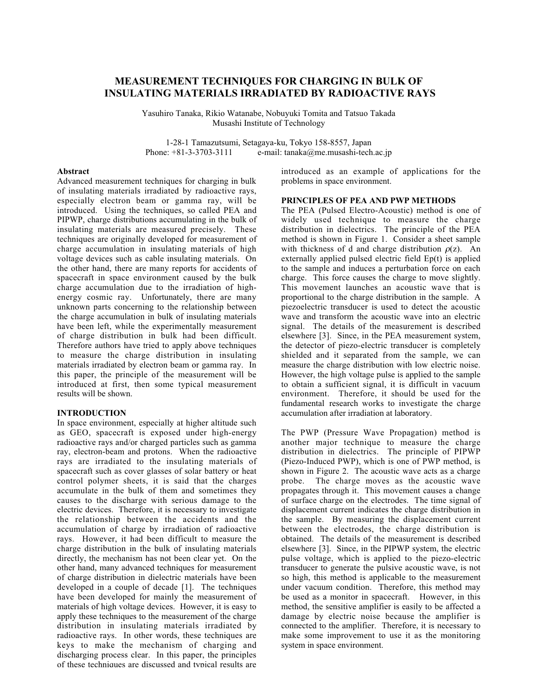# **MEASUREMENT TECHNIQUES FOR CHARGING IN BULK OF INSULATING MATERIALS IRRADIATED BY RADIOACTIVE RAYS**

Yasuhiro Tanaka, Rikio Watanabe, Nobuyuki Tomita and Tatsuo Takada Musashi Institute of Technology

1-28-1 Tamazutsumi, Setagaya-ku, Tokyo 158-8557, Japan<br>Phone: +81-3-3703-3111 e-mail: tanaka@me.musashi-tech  $e$ -mail: tanaka@me.musashi-tech.ac.jp

# **Abstract**

Advanced measurement techniques for charging in bulk of insulating materials irradiated by radioactive rays, especially electron beam or gamma ray, will be introduced. Using the techniques, so called PEA and PIPWP, charge distributions accumulating in the bulk of insulating materials are measured precisely. These techniques are originally developed for measurement of charge accumulation in insulating materials of high voltage devices such as cable insulating materials. On the other hand, there are many reports for accidents of spacecraft in space environment caused by the bulk charge accumulation due to the irradiation of highenergy cosmic ray. Unfortunately, there are many unknown parts concerning to the relationship between the charge accumulation in bulk of insulating materials have been left, while the experimentally measurement of charge distribution in bulk had been difficult. Therefore authors have tried to apply above techniques to measure the charge distribution in insulating materials irradiated by electron beam or gamma ray. In this paper, the principle of the measurement will be introduced at first, then some typical measurement results will be shown.

## **INTRODUCTION**

In space environment, especially at higher altitude such as GEO, spacecraft is exposed under high-energy radioactive rays and/or charged particles such as gamma ray, electron-beam and protons. When the radioactive rays are irradiated to the insulating materials of spacecraft such as cover glasses of solar battery or heat control polymer sheets, it is said that the charges accumulate in the bulk of them and sometimes they causes to the discharge with serious damage to the electric devices. Therefore, it is necessary to investigate the relationship between the accidents and the accumulation of charge by irradiation of radioactive rays. However, it had been difficult to measure the charge distribution in the bulk of insulating materials directly, the mechanism has not been clear yet. On the other hand, many advanced techniques for measurement of charge distribution in dielectric materials have been developed in a couple of decade [1]. The techniques have been developed for mainly the measurement of materials of high voltage devices. However, it is easy to apply these techniques to the measurement of the charge distribution in insulating materials irradiated by radioactive rays. In other words, these techniques are keys to make the mechanism of charging and discharging process clear. In this paper, the principles of these techniques are discussed and typical results are

introduced as an example of applications for the problems in space environment.

# **PRINCIPLES OF PEA AND PWP METHODS**

The PEA (Pulsed Electro-Acoustic) method is one of widely used technique to measure the charge distribution in dielectrics. The principle of the PEA method is shown in Figure 1. Consider a sheet sample with thickness of d and charge distribution  $\rho(z)$ . An externally applied pulsed electric field Ep(t) is applied to the sample and induces a perturbation force on each charge. This force causes the charge to move slightly. This movement launches an acoustic wave that is proportional to the charge distribution in the sample. A piezoelectric transducer is used to detect the acoustic wave and transform the acoustic wave into an electric signal. The details of the measurement is described elsewhere [3]. Since, in the PEA measurement system, the detector of piezo-electric transducer is completely shielded and it separated from the sample, we can measure the charge distribution with low electric noise. However, the high voltage pulse is applied to the sample to obtain a sufficient signal, it is difficult in vacuum environment. Therefore, it should be used for the fundamental research works to investigate the charge accumulation after irradiation at laboratory.

The PWP (Pressure Wave Propagation) method is another major technique to measure the charge distribution in dielectrics. The principle of PIPWP (Piezo-Induced PWP), which is one of PWP method, is shown in Figure 2. The acoustic wave acts as a charge probe. The charge moves as the acoustic wave propagates through it. This movement causes a change of surface charge on the electrodes. The time signal of displacement current indicates the charge distribution in the sample. By measuring the displacement current between the electrodes, the charge distribution is obtained. The details of the measurement is described elsewhere [3]. Since, in the PIPWP system, the electric pulse voltage, which is applied to the piezo-electric transducer to generate the pulsive acoustic wave, is not so high, this method is applicable to the measurement under vacuum condition. Therefore, this method may be used as a monitor in spacecraft. However, in this method, the sensitive amplifier is easily to be affected a damage by electric noise because the amplifier is connected to the amplifier. Therefore, it is necessary to make some improvement to use it as the monitoring system in space environment.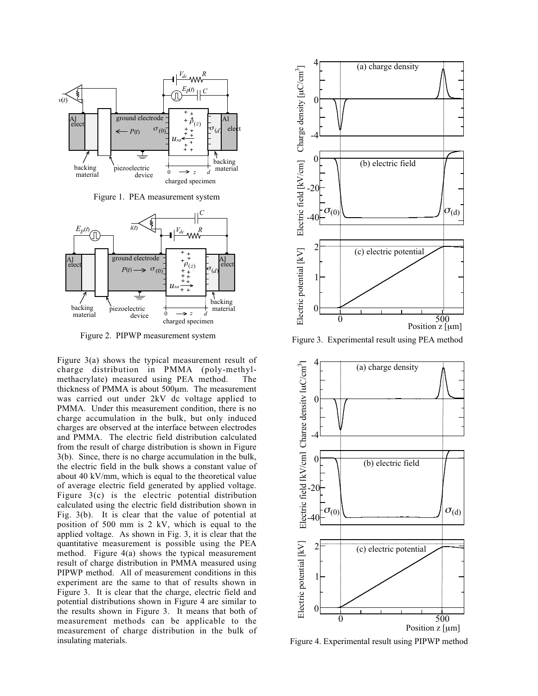

Figure 1. PEA measurement system



Figure 2. PIPWP measurement system

Figure 3(a) shows the typical measurement result of charge distribution in PMMA (poly-methylmethacrylate) measured using PEA method. The thickness of PMMA is about 500µm. The measurement was carried out under 2kV dc voltage applied to PMMA. Under this measurement condition, there is no charge accumulation in the bulk, but only induced charges are observed at the interface between electrodes and PMMA. The electric field distribution calculated from the result of charge distribution is shown in Figure 3(b). Since, there is no charge accumulation in the bulk, the electric field in the bulk shows a constant value of about 40 kV/mm, which is equal to the theoretical value of average electric field generated by applied voltage. Figure 3(c) is the electric potential distribution calculated using the electric field distribution shown in Fig. 3(b). It is clear that the value of potential at position of 500 mm is 2 kV, which is equal to the applied voltage. As shown in Fig. 3, it is clear that the quantitative measurement is possible using the PEA method. Figure 4(a) shows the typical measurement result of charge distribution in PMMA measured using PIPWP method. All of measurement conditions in this experiment are the same to that of results shown in Figure 3. It is clear that the charge, electric field and potential distributions shown in Figure 4 are similar to the results shown in Figure 3. It means that both of measurement methods can be applicable to the measurement of charge distribution in the bulk of insulating materials.



Figure 3. Experimental result using PEA method



Figure 4. Experimental result using PIPWP method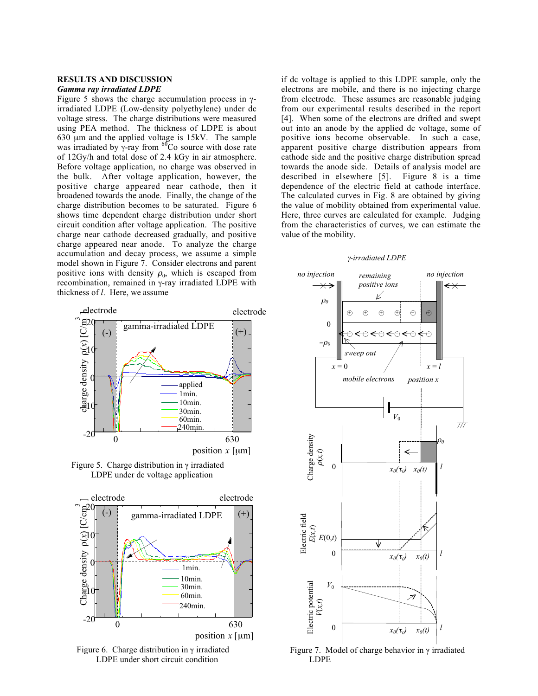# **RESULTS AND DISCUSSION** *Gamma ray irradiated LDPE*

Figure 5 shows the charge accumulation process in γirradiated LDPE (Low-density polyethylene) under dc voltage stress. The charge distributions were measured using PEA method. The thickness of LDPE is about 630 µm and the applied voltage is 15kV. The sample was irradiated by  $\gamma$ -ray from <sup>60</sup>Co source with dose rate of 12Gy/h and total dose of 2.4 kGy in air atmosphere. Before voltage application, no charge was observed in the bulk. After voltage application, however, the positive charge appeared near cathode, then it broadened towards the anode. Finally, the change of the charge distribution becomes to be saturated. Figure 6 shows time dependent charge distribution under short circuit condition after voltage application. The positive charge near cathode decreased gradually, and positive charge appeared near anode. To analyze the charge accumulation and decay process, we assume a simple model shown in Figure 7. Consider electrons and parent positive ions with density  $\rho_0$ , which is escaped from recombination, remained in γ-ray irradiated LDPE with thickness of *l*. Here, we assume

if dc voltage is applied to this LDPE sample, only the electrons are mobile, and there is no injecting charge from electrode. These assumes are reasonable judging from our experimental results described in the report [4]. When some of the electrons are drifted and swept out into an anode by the applied dc voltage, some of positive ions become observable. In such a case, apparent positive charge distribution appears from cathode side and the positive charge distribution spread towards the anode side. Details of analysis model are described in elsewhere [5]. Figure 8 is a time dependence of the electric field at cathode interface. The calculated curves in Fig. 8 are obtained by giving the value of mobility obtained from experimental value. Here, three curves are calculated for example. Judging from the characteristics of curves, we can estimate the value of the mobility.

#### <sup>γ</sup>*-irradiated LDPE*



Figure 5. Charge distribution in  $\gamma$  irradiated LDPE under dc voltage application







Figure 7. Model of charge behavior in γ irradiated LDPE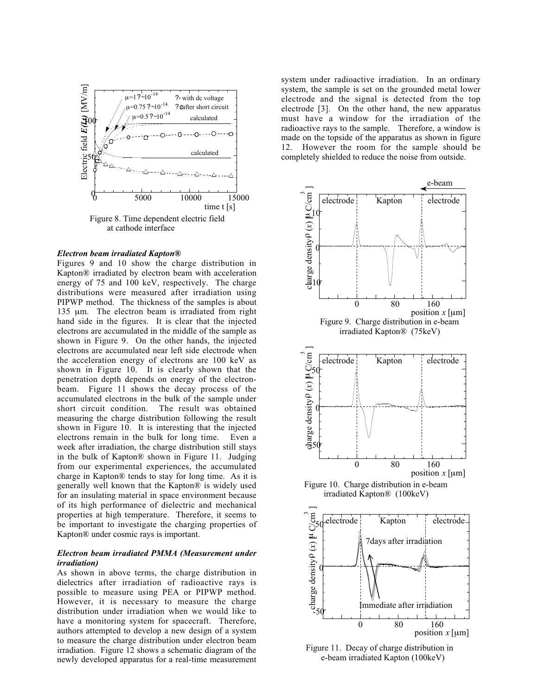

## *Electron beam irradiated Kapton®*

Figures 9 and 10 show the charge distribution in Kapton® irradiated by electron beam with acceleration energy of 75 and 100 keV, respectively. The charge distributions were measured after irradiation using PIPWP method. The thickness of the samples is about 135 µm. The electron beam is irradiated from right hand side in the figures. It is clear that the injected electrons are accumulated in the middle of the sample as shown in Figure 9. On the other hands, the injected electrons are accumulated near left side electrode when the acceleration energy of electrons are 100 keV as shown in Figure 10. It is clearly shown that the penetration depth depends on energy of the electronbeam. Figure 11 shows the decay process of the accumulated electrons in the bulk of the sample under short circuit condition. The result was obtained measuring the charge distribution following the result shown in Figure 10. It is interesting that the injected electrons remain in the bulk for long time. Even a week after irradiation, the charge distribution still stays in the bulk of Kapton® shown in Figure 11. Judging from our experimental experiences, the accumulated charge in Kapton® tends to stay for long time. As it is generally well known that the Kapton® is widely used for an insulating material in space environment because of its high performance of dielectric and mechanical properties at high temperature. Therefore, it seems to be important to investigate the charging properties of Kapton® under cosmic rays is important.

## *Electron beam irradiated PMMA (Measurement under irradiation)*

As shown in above terms, the charge distribution in dielectrics after irradiation of radioactive rays is possible to measure using PEA or PIPWP method. However, it is necessary to measure the charge distribution under irradiation when we would like to have a monitoring system for spacecraft. Therefore, authors attempted to develop a new design of a system to measure the charge distribution under electron beam irradiation. Figure 12 shows a schematic diagram of the newly developed apparatus for a real-time measurement

system under radioactive irradiation. In an ordinary system, the sample is set on the grounded metal lower electrode and the signal is detected from the top electrode [3]. On the other hand, the new apparatus must have a window for the irradiation of the radioactive rays to the sample. Therefore, a window is made on the topside of the apparatus as shown in figure 12. However the room for the sample should be completely shielded to reduce the noise from outside.





Figure 11. Decay of charge distribution in e-beam irradiated Kapton (100keV)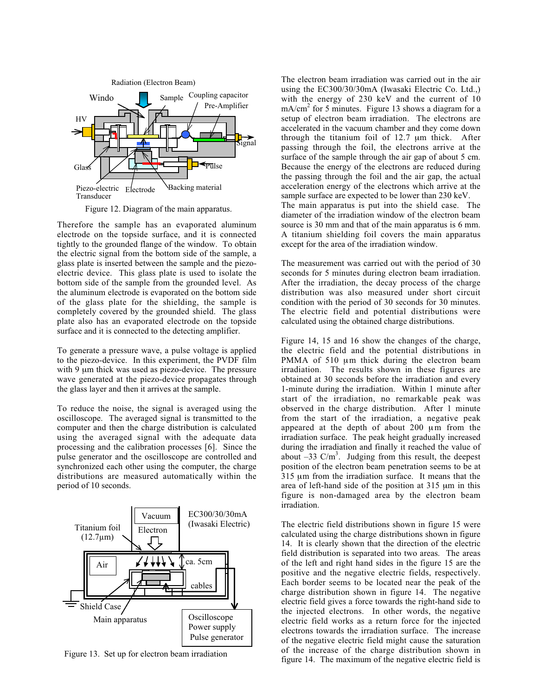

Figure 12. Diagram of the main apparatus.

Therefore the sample has an evaporated aluminum electrode on the topside surface, and it is connected tightly to the grounded flange of the window. To obtain the electric signal from the bottom side of the sample, a glass plate is inserted between the sample and the piezoelectric device. This glass plate is used to isolate the bottom side of the sample from the grounded level. As the aluminum electrode is evaporated on the bottom side of the glass plate for the shielding, the sample is completely covered by the grounded shield. The glass plate also has an evaporated electrode on the topside surface and it is connected to the detecting amplifier.

To generate a pressure wave, a pulse voltage is applied to the piezo-device. In this experiment, the PVDF film with 9 µm thick was used as piezo-device. The pressure wave generated at the piezo-device propagates through the glass layer and then it arrives at the sample.

To reduce the noise, the signal is averaged using the oscilloscope. The averaged signal is transmitted to the computer and then the charge distribution is calculated using the averaged signal with the adequate data processing and the calibration processes [6]. Since the pulse generator and the oscilloscope are controlled and synchronized each other using the computer, the charge distributions are measured automatically within the period of 10 seconds.



Figure 13. Set up for electron beam irradiation

The electron beam irradiation was carried out in the air using the EC300/30/30mA (Iwasaki Electric Co. Ltd.,) with the energy of 230 keV and the current of 10  $mA/cm<sup>2</sup>$  for 5 minutes. Figure 13 shows a diagram for a setup of electron beam irradiation. The electrons are accelerated in the vacuum chamber and they come down through the titanium foil of 12.7 µm thick. After passing through the foil, the electrons arrive at the surface of the sample through the air gap of about 5 cm. Because the energy of the electrons are reduced during the passing through the foil and the air gap, the actual acceleration energy of the electrons which arrive at the sample surface are expected to be lower than 230 keV. The main apparatus is put into the shield case. The diameter of the irradiation window of the electron beam source is 30 mm and that of the main apparatus is 6 mm. A titanium shielding foil covers the main apparatus except for the area of the irradiation window.

The measurement was carried out with the period of 30 seconds for 5 minutes during electron beam irradiation. After the irradiation, the decay process of the charge distribution was also measured under short circuit condition with the period of 30 seconds for 30 minutes. The electric field and potential distributions were calculated using the obtained charge distributions.

Figure 14, 15 and 16 show the changes of the charge, the electric field and the potential distributions in PMMA of 510 µm thick during the electron beam irradiation. The results shown in these figures are obtained at 30 seconds before the irradiation and every 1-minute during the irradiation. Within 1 minute after start of the irradiation, no remarkable peak was observed in the charge distribution. After 1 minute from the start of the irradiation, a negative peak appeared at the depth of about 200 µm from the irradiation surface. The peak height gradually increased during the irradiation and finally it reached the value of about  $-33$  C/m<sup>3</sup>. Judging from this result, the deepest position of the electron beam penetration seems to be at 315 µm from the irradiation surface. It means that the area of left-hand side of the position at 315 µm in this figure is non-damaged area by the electron beam irradiation.

The electric field distributions shown in figure 15 were calculated using the charge distributions shown in figure 14. It is clearly shown that the direction of the electric field distribution is separated into two areas. The areas of the left and right hand sides in the figure 15 are the positive and the negative electric fields, respectively. Each border seems to be located near the peak of the charge distribution shown in figure 14. The negative electric field gives a force towards the right-hand side to the injected electrons. In other words, the negative electric field works as a return force for the injected electrons towards the irradiation surface. The increase of the negative electric field might cause the saturation of the increase of the charge distribution shown in figure 14. The maximum of the negative electric field is